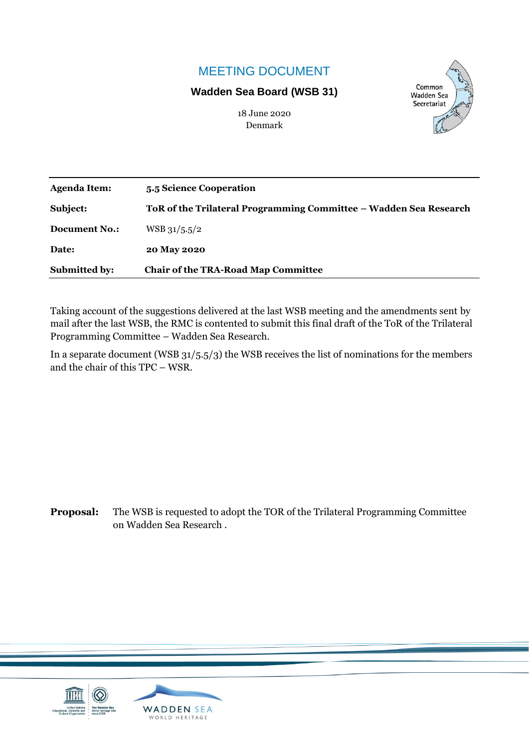# MEETING DOCUMENT

### **Wadden Sea Board (WSB 31)**



18 June 2020 Denmark

| <b>Agenda Item:</b>  | 5.5 Science Cooperation                                           |
|----------------------|-------------------------------------------------------------------|
| Subject:             | ToR of the Trilateral Programming Committee – Wadden Sea Research |
| <b>Document No.:</b> | $WSB$ 31/5.5/2                                                    |
| Date:                | 20 May 2020                                                       |
| <b>Submitted by:</b> | <b>Chair of the TRA-Road Map Committee</b>                        |

Taking account of the suggestions delivered at the last WSB meeting and the amendments sent by mail after the last WSB, the RMC is contented to submit this final draft of the ToR of the Trilateral Programming Committee – Wadden Sea Research.

In a separate document (WSB 31/5.5/3) the WSB receives the list of nominations for the members and the chair of this TPC – WSR.

**Proposal:** The WSB is requested to adopt the TOR of the Trilateral Programming Committee on Wadden Sea Research .

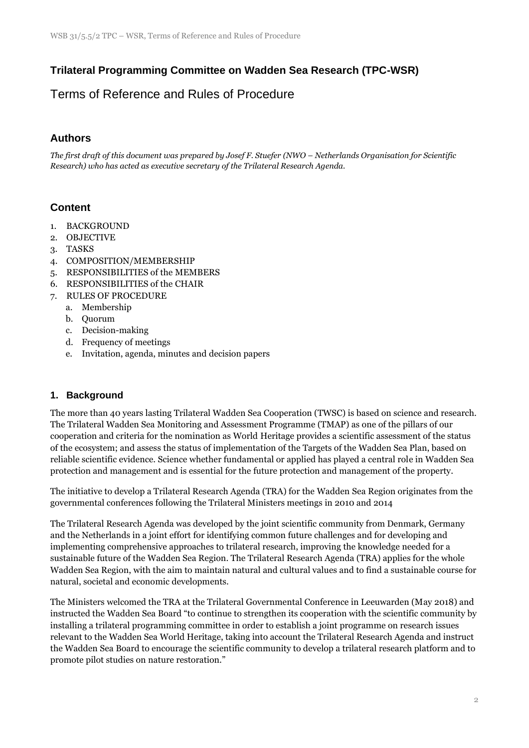## **Trilateral Programming Committee on Wadden Sea Research (TPC-WSR)**

# Terms of Reference and Rules of Procedure

### **Authors**

*The first draft of this document was prepared by Josef F. Stuefer (NWO - Netherlands Organisation for Scientific Research) who has acted as executive secretary of the Trilateral Research Agenda.*

### **Content**

- 1. BACKGROUND
- 2. OBJECTIVE
- 3. TASKS
- 4. COMPOSITION/MEMBERSHIP
- 5. RESPONSIBILITIES of the MEMBERS
- 6. RESPONSIBILITIES of the CHAIR
- 7. RULES OF PROCEDURE
	- a. Membership
	- b. Quorum
	- c. Decision-making
	- d. Frequency of meetings
	- e. Invitation, agenda, minutes and decision papers

#### **1. Background**

The more than 40 years lasting Trilateral Wadden Sea Cooperation (TWSC) is based on science and research. The Trilateral Wadden Sea Monitoring and Assessment Programme (TMAP) as one of the pillars of our cooperation and criteria for the nomination as World Heritage provides a scientific assessment of the status of the ecosystem; and assess the status of implementation of the Targets of the Wadden Sea Plan, based on reliable scientific evidence. Science whether fundamental or applied has played a central role in Wadden Sea protection and management and is essential for the future protection and management of the property.

The initiative to develop a Trilateral Research Agenda (TRA) for the Wadden Sea Region originates from the governmental conferences following the Trilateral Ministers meetings in 2010 and 2014

The Trilateral Research Agenda was developed by the joint scientific community from Denmark, Germany and the Netherlands in a joint effort for identifying common future challenges and for developing and implementing comprehensive approaches to trilateral research, improving the knowledge needed for a sustainable future of the Wadden Sea Region. The Trilateral Research Agenda (TRA) applies for the whole Wadden Sea Region, with the aim to maintain natural and cultural values and to find a sustainable course for natural, societal and economic developments.

The Ministers welcomed the TRA at the Trilateral Governmental Conference in Leeuwarden (May 2018) and instructed the Wadden Sea Board "to continue to strengthen its cooperation with the scientific community by installing a trilateral programming committee in order to establish a joint programme on research issues relevant to the Wadden Sea World Heritage, taking into account the Trilateral Research Agenda and instruct the Wadden Sea Board to encourage the scientific community to develop a trilateral research platform and to promote pilot studies on nature restoration."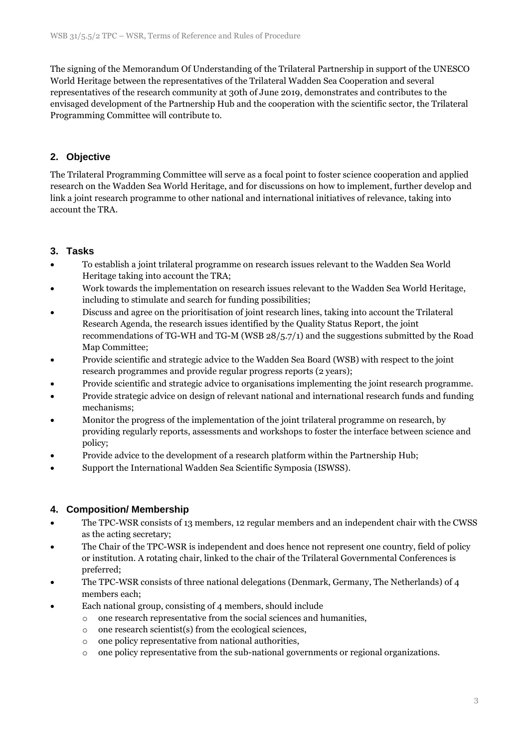The signing of the Memorandum Of Understanding of the Trilateral Partnership in support of the UNESCO World Heritage between the representatives of the Trilateral Wadden Sea Cooperation and several representatives of the research community at 30th of June 2019, demonstrates and contributes to the envisaged development of the Partnership Hub and the cooperation with the scientific sector, the Trilateral Programming Committee will contribute to.

### **2. Objective**

The Trilateral Programming Committee will serve as a focal point to foster science cooperation and applied research on the Wadden Sea World Heritage, and for discussions on how to implement, further develop and link a joint research programme to other national and international initiatives of relevance, taking into account the TRA.

#### **3. Tasks**

- To establish a joint trilateral programme on research issues relevant to the Wadden Sea World Heritage taking into account the TRA;
- Work towards the implementation on research issues relevant to the Wadden Sea World Heritage, including to stimulate and search for funding possibilities;
- Discuss and agree on the prioritisation of joint research lines, taking into account the Trilateral Research Agenda, the research issues identified by the Quality Status Report, the joint recommendations of TG-WH and TG-M (WSB 28/5.7/1) and the suggestions submitted by the Road Map Committee;
- Provide scientific and strategic advice to the Wadden Sea Board (WSB) with respect to the joint research programmes and provide regular progress reports (2 years);
- Provide scientific and strategic advice to organisations implementing the joint research programme.
- Provide strategic advice on design of relevant national and international research funds and funding mechanisms;
- Monitor the progress of the implementation of the joint trilateral programme on research, by providing regularly reports, assessments and workshops to foster the interface between science and policy;
- Provide advice to the development of a research platform within the Partnership Hub;
- Support the International Wadden Sea Scientific Symposia (ISWSS).

#### **4. Composition/ Membership**

- The TPC-WSR consists of 13 members, 12 regular members and an independent chair with the CWSS as the acting secretary;
- The Chair of the TPC-WSR is independent and does hence not represent one country, field of policy or institution. A rotating chair, linked to the chair of the Trilateral Governmental Conferences is preferred;
- The TPC-WSR consists of three national delegations (Denmark, Germany, The Netherlands) of 4 members each;
- Each national group, consisting of 4 members, should include
	- o one research representative from the social sciences and humanities,
	- o one research scientist(s) from the ecological sciences,
	- o one policy representative from national authorities,
	- o one policy representative from the sub-national governments or regional organizations.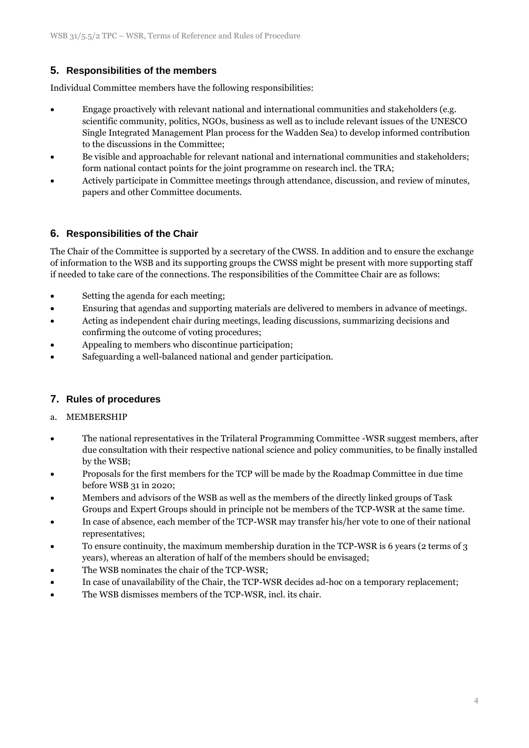### **5. Responsibilities of the members**

Individual Committee members have the following responsibilities:

- Engage proactively with relevant national and international communities and stakeholders (e.g. scientific community, politics, NGOs, business as well as to include relevant issues of the UNESCO Single Integrated Management Plan process for the Wadden Sea) to develop informed contribution to the discussions in the Committee;
- Be visible and approachable for relevant national and international communities and stakeholders; form national contact points for the joint programme on research incl. the TRA;
- Actively participate in Committee meetings through attendance, discussion, and review of minutes, papers and other Committee documents.

### **6. Responsibilities of the Chair**

The Chair of the Committee is supported by a secretary of the CWSS. In addition and to ensure the exchange of information to the WSB and its supporting groups the CWSS might be present with more supporting staff if needed to take care of the connections. The responsibilities of the Committee Chair are as follows:

- Setting the agenda for each meeting;
- Ensuring that agendas and supporting materials are delivered to members in advance of meetings.
- Acting as independent chair during meetings, leading discussions, summarizing decisions and confirming the outcome of voting procedures;
- Appealing to members who discontinue participation;
- Safeguarding a well-balanced national and gender participation.

### **7. Rules of procedures**

#### a. MEMBERSHIP

- The national representatives in the Trilateral Programming Committee -WSR suggest members, after due consultation with their respective national science and policy communities, to be finally installed by the WSB;
- Proposals for the first members for the TCP will be made by the Roadmap Committee in due time before WSB 31 in 2020;
- Members and advisors of the WSB as well as the members of the directly linked groups of Task Groups and Expert Groups should in principle not be members of the TCP-WSR at the same time.
- In case of absence, each member of the TCP-WSR may transfer his/her vote to one of their national representatives;
- To ensure continuity, the maximum membership duration in the TCP-WSR is 6 years (2 terms of 3 years), whereas an alteration of half of the members should be envisaged;
- The WSB nominates the chair of the TCP-WSR;
- In case of unavailability of the Chair, the TCP-WSR decides ad-hoc on a temporary replacement;
- The WSB dismisses members of the TCP-WSR, incl. its chair.